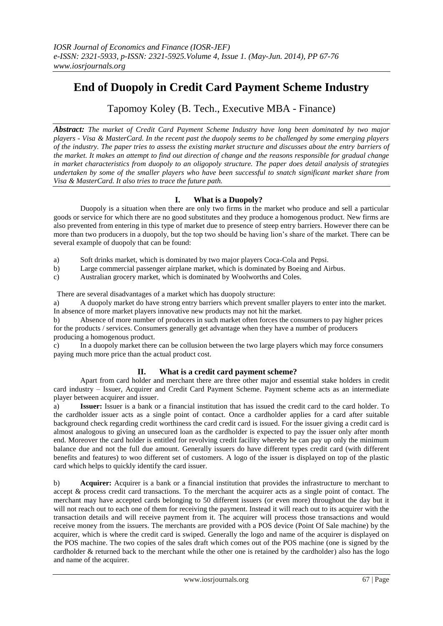# **End of Duopoly in Credit Card Payment Scheme Industry**

Tapomoy Koley (B. Tech., Executive MBA - Finance)

*Abstract: The market of Credit Card Payment Scheme Industry have long been dominated by two major players - Visa & MasterCard. In the recent past the duopoly seems to be challenged by some emerging players of the industry. The paper tries to assess the existing market structure and discusses about the entry barriers of the market. It makes an attempt to find out direction of change and the reasons responsible for gradual change in market characteristics from duopoly to an oligopoly structure. The paper does detail analysis of strategies undertaken by some of the smaller players who have been successful to snatch significant market share from Visa & MasterCard. It also tries to trace the future path.*

# **I. What is a Duopoly?**

Duopoly is a situation when there are only two firms in the market who produce and sell a particular goods or service for which there are no good substitutes and they produce a homogenous product. New firms are also prevented from entering in this type of market due to presence of steep entry barriers. However there can be more than two producers in a duopoly, but the top two should be having lion's share of the market. There can be several example of duopoly that can be found:

- a) Soft drinks market, which is dominated by two major players Coca-Cola and Pepsi.
- b) Large commercial passenger airplane market, which is dominated by Boeing and Airbus.
- c) Australian grocery market, which is dominated by [Woolworths](http://en.wikipedia.org/wiki/Woolworths_Limited) and [Coles.](http://en.wikipedia.org/wiki/Coles_Supermarkets)

There are several disadvantages of a market which has duopoly structure:

a) A duopoly market do have strong entry barriers which prevent smaller players to enter into the market. In absence of more market players innovative new products may not hit the market.

b) Absence of more number of producers in such market often forces the consumers to pay higher prices for the products / services. Consumers generally get advantage when they have a number of producers producing a homogenous product.

c) In a duopoly market there can be collusion between the two large players which may force consumers paying much more price than the actual product cost.

## **II. What is a credit card payment scheme?**

Apart from card holder and merchant there are three other major and essential stake holders in credit card industry – Issuer, Acquirer and Credit Card Payment Scheme. Payment scheme acts as an intermediate player between acquirer and issuer.

a) **Issuer:** Issuer is a bank or a financial institution that has issued the credit card to the card holder. To the cardholder issuer acts as a single point of contact. Once a cardholder applies for a card after suitable background check regarding credit worthiness the card credit card is issued. For the issuer giving a credit card is almost analogous to giving an unsecured loan as the cardholder is expected to pay the issuer only after month end. Moreover the card holder is entitled for revolving credit facility whereby he can pay up only the minimum balance due and not the full due amount. Generally issuers do have different types credit card (with different benefits and features) to woo different set of customers. A logo of the issuer is displayed on top of the plastic card which helps to quickly identify the card issuer.

b) **Acquirer:** Acquirer is a bank or a financial institution that provides the infrastructure to merchant to accept & process credit card transactions. To the merchant the acquirer acts as a single point of contact. The merchant may have accepted cards belonging to 50 different issuers (or even more) throughout the day but it will not reach out to each one of them for receiving the payment. Instead it will reach out to its acquirer with the transaction details and will receive payment from it. The acquirer will process those transactions and would receive money from the issuers. The merchants are provided with a POS device (Point Of Sale machine) by the acquirer, which is where the credit card is swiped. Generally the logo and name of the acquirer is displayed on the POS machine. The two copies of the sales draft which comes out of the POS machine (one is signed by the cardholder & returned back to the merchant while the other one is retained by the cardholder) also has the logo and name of the acquirer.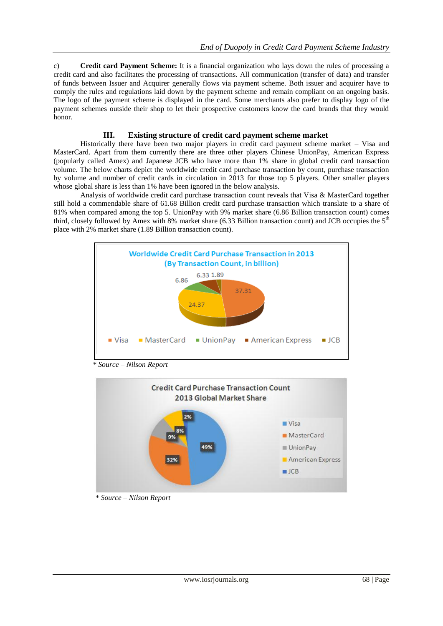c) **Credit card Payment Scheme:** It is a financial organization who lays down the rules of processing a credit card and also facilitates the processing of transactions. All communication (transfer of data) and transfer of funds between Issuer and Acquirer generally flows via payment scheme. Both issuer and acquirer have to comply the rules and regulations laid down by the payment scheme and remain compliant on an ongoing basis. The logo of the payment scheme is displayed in the card. Some merchants also prefer to display logo of the payment schemes outside their shop to let their prospective customers know the card brands that they would honor.

## **III. Existing structure of credit card payment scheme market**

Historically there have been two major players in credit card payment scheme market – Visa and MasterCard. Apart from them currently there are three other players Chinese UnionPay, American Express (popularly called Amex) and Japanese JCB who have more than 1% share in global credit card transaction volume. The below charts depict the worldwide credit card purchase transaction by count, purchase transaction by volume and number of credit cards in circulation in 2013 for those top 5 players. Other smaller players whose global share is less than 1% have been ignored in the below analysis.

Analysis of worldwide credit card purchase transaction count reveals that Visa & MasterCard together still hold a commendable share of 61.68 Billion credit card purchase transaction which translate to a share of 81% when compared among the top 5. UnionPay with 9% market share (6.86 Billion transaction count) comes third, closely followed by Amex with 8% market share (6.33 Billion transaction count) and JCB occupies the 5<sup>th</sup> place with 2% market share (1.89 Billion transaction count).



 *\* Source – Nilson Report*



 *\* Source – Nilson Report*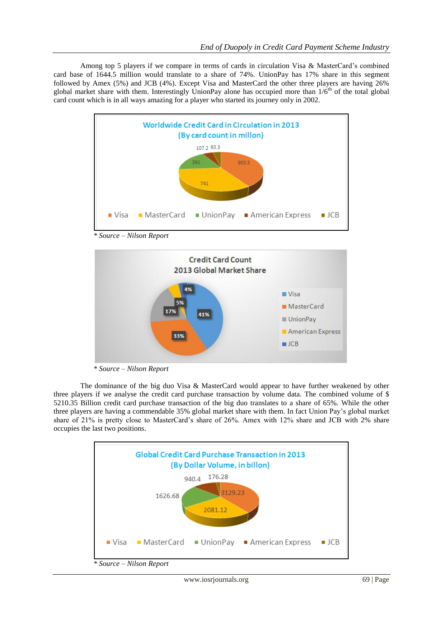Among top 5 players if we compare in terms of cards in circulation Visa & MasterCard's combined card base of 1644.5 million would translate to a share of 74%. UnionPay has 17% share in this segment followed by Amex (5%) and JCB (4%). Except Visa and MasterCard the other three players are having 26% global market share with them. Interestingly UnionPay alone has occupied more than  $1/6<sup>th</sup>$  of the total global card count which is in all ways amazing for a player who started its journey only in 2002.



 *\* Source – Nilson Report*



 *\* Source – Nilson Report*

The dominance of the big duo Visa & MasterCard would appear to have further weakened by other three players if we analyse the credit card purchase transaction by volume data. The combined volume of \$ 5210.35 Billion credit card purchase transaction of the big duo translates to a share of 65%. While the other three players are having a commendable 35% global market share with them. In fact Union Pay's global market share of 21% is pretty close to MasterCard's share of 26%. Amex with 12% share and JCB with 2% share occupies the last two positions.



 *\* Source – Nilson Report*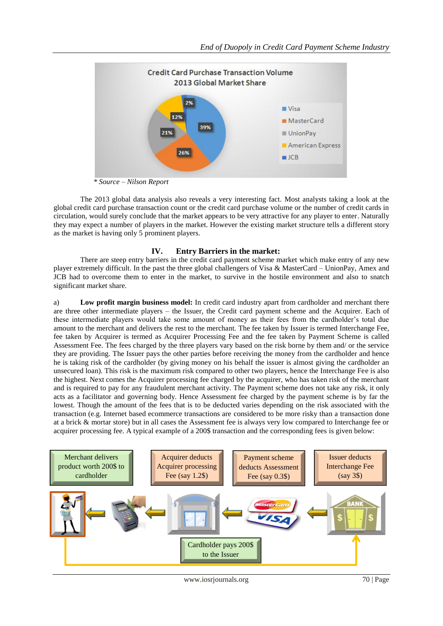

 *\* Source – Nilson Report*

The 2013 global data analysis also reveals a very interesting fact. Most analysts taking a look at the global credit card purchase transaction count or the credit card purchase volume or the number of credit cards in circulation, would surely conclude that the market appears to be very attractive for any player to enter. Naturally they may expect a number of players in the market. However the existing market structure tells a different story as the market is having only 5 prominent players.

## **IV. Entry Barriers in the market:**

There are steep entry barriers in the credit card payment scheme market which make entry of any new player extremely difficult. In the past the three global challengers of Visa & MasterCard – UnionPay, Amex and JCB had to overcome them to enter in the market, to survive in the hostile environment and also to snatch significant market share.

a) **Low profit margin business model:** In credit card industry apart from cardholder and merchant there are three other intermediate players – the Issuer, the Credit card payment scheme and the Acquirer. Each of these intermediate players would take some amount of money as their fees from the cardholder's total due amount to the merchant and delivers the rest to the merchant. The fee taken by Issuer is termed Interchange Fee, fee taken by Acquirer is termed as Acquirer Processing Fee and the fee taken by Payment Scheme is called Assessment Fee. The fees charged by the three players vary based on the risk borne by them and/ or the service they are providing. The Issuer pays the other parties before receiving the money from the cardholder and hence he is taking risk of the cardholder (by giving money on his behalf the issuer is almost giving the cardholder an unsecured loan). This risk is the maximum risk compared to other two players, hence the Interchange Fee is also the highest. Next comes the Acquirer processing fee charged by the acquirer, who has taken risk of the merchant and is required to pay for any fraudulent merchant activity. The Payment scheme does not take any risk, it only acts as a facilitator and governing body. Hence Assessment fee charged by the payment scheme is by far the lowest. Though the amount of the fees that is to be deducted varies depending on the risk associated with the transaction (e.g. Internet based ecommerce transactions are considered to be more risky than a transaction done at a brick & mortar store) but in all cases the Assessment fee is always very low compared to Interchange fee or acquirer processing fee. A typical example of a 200\$ transaction and the corresponding fees is given below:

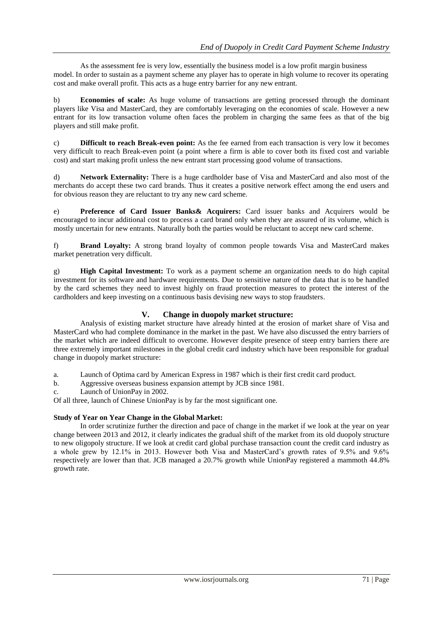As the assessment fee is very low, essentially the business model is a low profit margin business model. In order to sustain as a payment scheme any player has to operate in high volume to recover its operating cost and make overall profit. This acts as a huge entry barrier for any new entrant.

b) **Economies of scale:** As huge volume of transactions are getting processed through the dominant players like Visa and MasterCard, they are comfortably leveraging on the economies of scale. However a new entrant for its low transaction volume often faces the problem in charging the same fees as that of the big players and still make profit.

c) **Difficult to reach Break-even point:** As the fee earned from each transaction is very low it becomes very difficult to reach Break-even point (a point where a firm is able to cover both its fixed cost and variable cost) and start making profit unless the new entrant start processing good volume of transactions.

d) **Network Externality:** There is a huge cardholder base of Visa and MasterCard and also most of the merchants do accept these two card brands. Thus it creates a positive network effect among the end users and for obvious reason they are reluctant to try any new card scheme.

e) **Preference of Card Issuer Banks& Acquirers:** Card issuer banks and Acquirers would be encouraged to incur additional cost to process a card brand only when they are assured of its volume, which is mostly uncertain for new entrants. Naturally both the parties would be reluctant to accept new card scheme.

f) **Brand Loyalty:** A strong brand loyalty of common people towards Visa and MasterCard makes market penetration very difficult.

g) **High Capital Investment:** To work as a payment scheme an organization needs to do high capital investment for its software and hardware requirements. Due to sensitive nature of the data that is to be handled by the card schemes they need to invest highly on fraud protection measures to protect the interest of the cardholders and keep investing on a continuous basis devising new ways to stop fraudsters.

## **V. Change in duopoly market structure:**

Analysis of existing market structure have already hinted at the erosion of market share of Visa and MasterCard who had complete dominance in the market in the past. We have also discussed the entry barriers of the market which are indeed difficult to overcome. However despite presence of steep entry barriers there are three extremely important milestones in the global credit card industry which have been responsible for gradual change in duopoly market structure:

a. Launch of Optima card by American Express in 1987 which is their first credit card product.

b. Aggressive overseas business expansion attempt by JCB since 1981.

c. Launch of UnionPay in 2002.

Of all three, launch of Chinese UnionPay is by far the most significant one.

## **Study of Year on Year Change in the Global Market:**

In order scrutinize further the direction and pace of change in the market if we look at the year on year change between 2013 and 2012, it clearly indicates the gradual shift of the market from its old duopoly structure to new oligopoly structure. If we look at credit card global purchase transaction count the credit card industry as a whole grew by 12.1% in 2013. However both Visa and MasterCard's growth rates of 9.5% and 9.6% respectively are lower than that. JCB managed a 20.7% growth while UnionPay registered a mammoth 44.8% growth rate.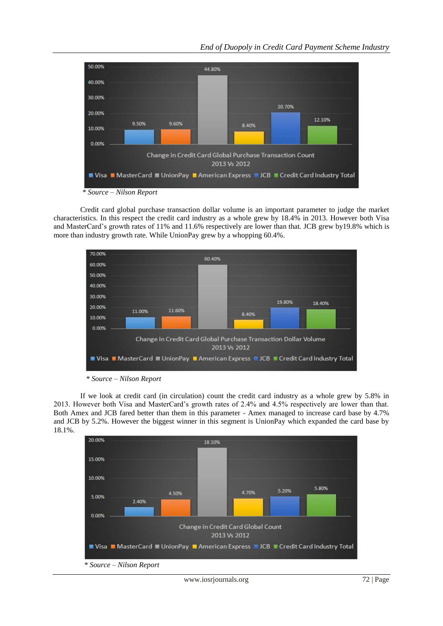

Credit card global purchase transaction dollar volume is an important parameter to judge the market characteristics. In this respect the credit card industry as a whole grew by 18.4% in 2013. However both Visa and MasterCard's growth rates of 11% and 11.6% respectively are lower than that. JCB grew by19.8% which is more than industry growth rate. While UnionPay grew by a whopping 60.4%.



 *\* Source – Nilson Report*

If we look at credit card (in circulation) count the credit card industry as a whole grew by 5.8% in 2013. However both Visa and MasterCard's growth rates of 2.4% and 4.5% respectively are lower than that. Both Amex and JCB fared better than them in this parameter - Amex managed to increase card base by 4.7% and JCB by 5.2%. However the biggest winner in this segment is UnionPay which expanded the card base by 18.1%.

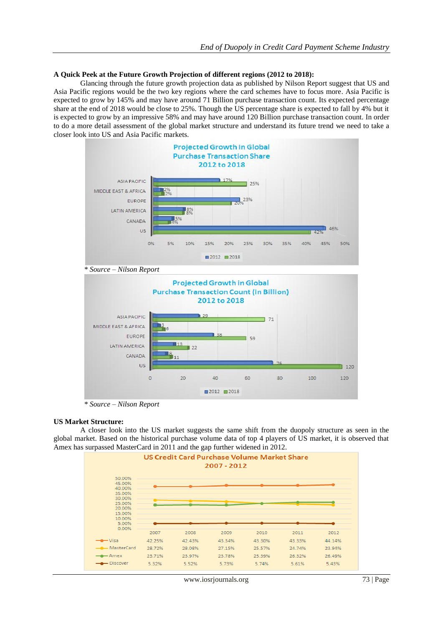#### **A Quick Peek at the Future Growth Projection of different regions (2012 to 2018):**

Glancing through the future growth projection data as published by Nilson Report suggest that US and Asia Pacific regions would be the two key regions where the card schemes have to focus more. Asia Pacific is expected to grow by 145% and may have around 71 Billion purchase transaction count. Its expected percentage share at the end of 2018 would be close to 25%. Though the US percentage share is expected to fall by 4% but it is expected to grow by an impressive 58% and may have around 120 Billion purchase transaction count. In order to do a more detail assessment of the global market structure and understand its future trend we need to take a closer look into US and Asia Pacific markets.



 *\* Source – Nilson Report*

#### **US Market Structure:**

A closer look into the US market suggests the same shift from the duopoly structure as seen in the global market. Based on the historical purchase volume data of top 4 players of US market, it is observed that Amex has surpassed MasterCard in 2011 and the gap further widened in 2012.

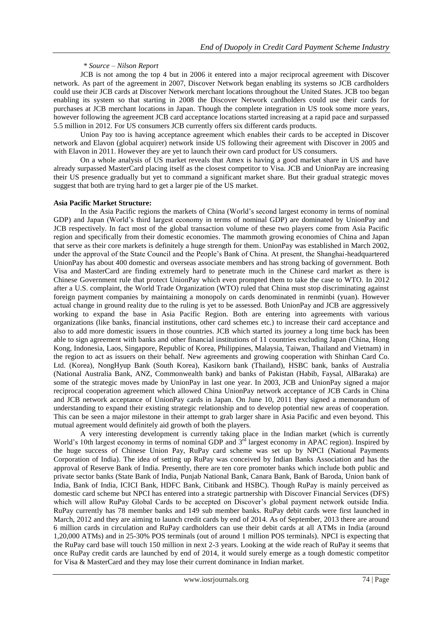### *\* Source – Nilson Report*

JCB is not among the top 4 but in 2006 it entered into a major reciprocal agreement with Discover network. As part of the agreement in 2007, Discover Network began enabling its systems so JCB cardholders could use their JCB cards at Discover Network merchant locations throughout the United States. JCB too began enabling its system so that starting in 2008 the Discover Network cardholders could use their cards for purchases at JCB merchant locations in Japan. Though the complete integration in US took some more years, however following the agreement JCB card acceptance locations started increasing at a rapid pace and surpassed 5.5 million in 2012. For US consumers JCB currently offers six different cards products.

Union Pay too is having acceptance agreement which enables their cards to be accepted in Discover network and Elavon (global acquirer) network inside US following their agreement with Discover in 2005 and with Elavon in 2011. However they are yet to launch their own card product for US consumers.

On a whole analysis of US market reveals that Amex is having a good market share in US and have already surpassed MasterCard placing itself as the closest competitor to Visa. JCB and UnionPay are increasing their US presence gradually but yet to command a significant market share. But their gradual strategic moves suggest that both are trying hard to get a larger pie of the US market.

#### **Asia Pacific Market Structure:**

In the Asia Pacific regions the markets of China (World's second largest economy in terms of nominal GDP) and Japan (World's third largest economy in terms of nominal GDP) are dominated by UnionPay and JCB respectively. In fact most of the global transaction volume of these two players come from Asia Pacific region and specifically from their domestic economies. The mammoth growing economies of China and Japan that serve as their core markets is definitely a huge strength for them. UnionPay was established in March 2002, under the approval of the State Council and the People's Bank of China. At present, the Shanghai-headquartered UnionPay has about 400 domestic and overseas associate members and has strong backing of government. Both Visa and MasterCard are finding extremely hard to penetrate much in the Chinese card market as there is Chinese Government rule that protect UnionPay which even prompted them to take the case to WTO. In 2012 after a U.S. complaint, the World Trade Organization (WTO) ruled that China must stop discriminating against foreign payment companies by maintaining a monopoly on cards denominated in renminbi (yuan). However actual change in ground reality due to the ruling is yet to be assessed. Both UnionPay and JCB are aggressively working to expand the base in Asia Pacific Region. Both are entering into agreements with various organizations (like banks, financial institutions, other card schemes etc.) to increase their card acceptance and also to add more domestic issuers in those countries. JCB which started its journey a long time back has been able to sign agreement with banks and other financial institutions of 11 countries excluding Japan (China, Hong Kong, Indonesia, Laos, Singapore, Republic of Korea, Philippines, Malaysia, Taiwan, Thailand and Vietnam) in the region to act as issuers on their behalf. New agreements and growing cooperation with Shinhan Card Co. Ltd. (Korea), NongHyup Bank (South Korea), Kasikorn bank (Thailand), HSBC bank, banks of Australia (National Australia Bank, ANZ, Commonwealth bank) and banks of Pakistan (Habib, Faysal, AlBaraka) are some of the strategic moves made by UnionPay in last one year. In 2003, JCB and UnionPay signed a major reciprocal cooperation agreement which allowed China UnionPay network acceptance of JCB Cards in China and JCB network acceptance of UnionPay cards in Japan. On June 10, 2011 they signed a memorandum of understanding to expand their existing strategic relationship and to develop potential new areas of cooperation. This can be seen a major milestone in their attempt to grab larger share in Asia Pacific and even beyond. This mutual agreement would definitely aid growth of both the players.

A very interesting development is currently taking place in the Indian market (which is currently World's 10th largest economy in terms of nominal GDP and 3<sup>rd</sup> largest economy in APAC region). Inspired by the huge success of Chinese Union Pay, RuPay card scheme was set up by NPCI (National Payments Corporation of India). The idea of setting up RuPay was conceived by Indian Banks Association and has the approval of Reserve Bank of India. Presently, there are ten core promoter banks which include both public and private sector banks (State Bank of India, Punjab National Bank, Canara Bank, Bank of Baroda, Union bank of India, Bank of India, ICICI Bank, HDFC Bank, Citibank and HSBC). Though RuPay is mainly perceived as domestic card scheme but NPCI has entered into a strategic partnership with Discover Financial Services (DFS) which will allow RuPay Global Cards to be accepted on Discover's global payment network outside India. RuPay currently has 78 member banks and 149 sub member banks. RuPay debit cards were first launched in March, 2012 and they are aiming to launch credit cards by end of 2014. As of September, 2013 there are around 6 million cards in circulation and RuPay cardholders can use their debit cards at all ATMs in India (around 1,20,000 ATMs) and in 25-30% POS terminals (out of around 1 million POS terminals). NPCI is expecting that the RuPay card base will touch 150 million in next 2-3 years. Looking at the wide reach of RuPay it seems that once RuPay credit cards are launched by end of 2014, it would surely emerge as a tough domestic competitor for Visa & MasterCard and they may lose their current dominance in Indian market.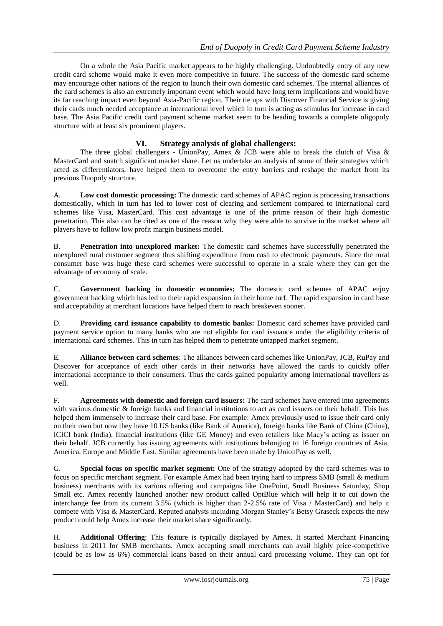On a whole the Asia Pacific market appears to be highly challenging. Undoubtedly entry of any new credit card scheme would make it even more competitive in future. The success of the domestic card scheme may encourage other nations of the region to launch their own domestic card schemes. The internal alliances of the card schemes is also an extremely important event which would have long term implications and would have its far reaching impact even beyond Asia-Pacific region. Their tie ups with Discover Financial Service is giving their cards much needed acceptance at international level which in turn is acting as stimulus for increase in card base. The Asia Pacific credit card payment scheme market seem to be heading towards a complete oligopoly structure with at least six prominent players.

## **VI. Strategy analysis of global challengers:**

The three global challengers - UnionPay, Amex & JCB were able to break the clutch of Visa & MasterCard and snatch significant market share. Let us undertake an analysis of some of their strategies which acted as differentiators, have helped them to overcome the entry barriers and reshape the market from its previous Duopoly structure.

A. **Low cost domestic processing:** The domestic card schemes of APAC region is processing transactions domestically, which in turn has led to lower cost of clearing and settlement compared to international card schemes like Visa, MasterCard. This cost advantage is one of the prime reason of their high domestic penetration. This also can be cited as one of the reason why they were able to survive in the market where all players have to follow low profit margin business model.

B. **Penetration into unexplored market:** The domestic card schemes have successfully penetrated the unexplored rural customer segment thus shifting expenditure from cash to electronic payments. Since the rural consumer base was huge these card schemes were successful to operate in a scale where they can get the advantage of economy of scale.

C. **Government backing in domestic economies:** The domestic card schemes of APAC enjoy government backing which has led to their rapid expansion in their home turf. The rapid expansion in card base and acceptability at merchant locations have helped them to reach breakeven sooner.

D. **Providing card issuance capability to domestic banks:** Domestic card schemes have provided card payment service option to many banks who are not eligible for card issuance under the eligibility criteria of international card schemes. This in turn has helped them to penetrate untapped market segment.

E. **Alliance between card schemes**: The alliances between card schemes like UnionPay, JCB, RuPay and Discover for acceptance of each other cards in their networks have allowed the cards to quickly offer international acceptance to their consumers. Thus the cards gained popularity among international travellers as well.

F. **Agreements with domestic and foreign card issuers:** The card schemes have entered into agreements with various domestic & foreign banks and financial institutions to act as card issuers on their behalf. This has helped them immensely to increase their card base. For example: Amex previously used to issue their card only on their own but now they have 10 US banks (like Bank of America), foreign banks like Bank of China (China), ICICI bank (India), financial institutions (like GE Money) and even retailers like Macy's acting as issuer on their behalf. JCB currently has issuing agreements with institutions belonging to 16 foreign countries of Asia, America, Europe and Middle East. Similar agreements have been made by UnionPay as well.

G. **Special focus on specific market segment:** One of the strategy adopted by the card schemes was to focus on specific merchant segment. For example Amex had been trying hard to impress SMB (small & medium business) merchants with its various offering and campaigns like OnePoint, Small Business Saturday, Shop Small etc. Amex recently launched another new product called OptBlue which will help it to cut down the interchange fee from its current 3.5% (which is higher than 2-2.5% rate of Visa / MasterCard) and help it compete with Visa & MasterCard. Reputed analysts including Morgan Stanley's [Betsy Graseck](http://topics.bloomberg.com/betsy-graseck/) expects the new product could help Amex increase their market share significantly.

H. **Additional Offering**: This feature is typically displayed by Amex. It started Merchant Financing business in 2011 for SMB merchants. Amex accepting small merchants can avail highly price-competitive (could be as low as 6%) commercial loans based on their annual card processing volume. They can opt for